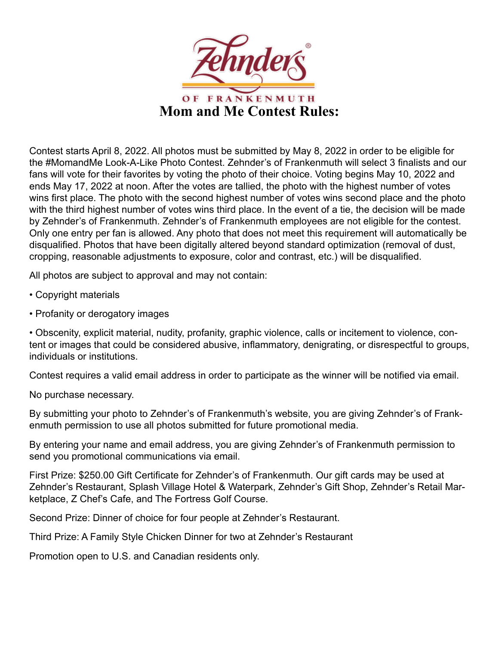

Contest starts April 8, 2022. All photos must be submitted by May 8, 2022 in order to be eligible for the #MomandMe Look-A-Like Photo Contest. Zehnder's of Frankenmuth will select 3 finalists and our fans will vote for their favorites by voting the photo of their choice. Voting begins May 10, 2022 and ends May 17, 2022 at noon. After the votes are tallied, the photo with the highest number of votes wins first place. The photo with the second highest number of votes wins second place and the photo with the third highest number of votes wins third place. In the event of a tie, the decision will be made by Zehnder's of Frankenmuth. Zehnder's of Frankenmuth employees are not eligible for the contest. Only one entry per fan is allowed. Any photo that does not meet this requirement will automatically be disqualified. Photos that have been digitally altered beyond standard optimization (removal of dust, cropping, reasonable adjustments to exposure, color and contrast, etc.) will be disqualified.

All photos are subject to approval and may not contain:

- Copyright materials
- Profanity or derogatory images

• Obscenity, explicit material, nudity, profanity, graphic violence, calls or incitement to violence, content or images that could be considered abusive, inflammatory, denigrating, or disrespectful to groups, individuals or institutions.

Contest requires a valid email address in order to participate as the winner will be notified via email.

No purchase necessary.

By submitting your photo to Zehnder's of Frankenmuth's website, you are giving Zehnder's of Frankenmuth permission to use all photos submitted for future promotional media.

By entering your name and email address, you are giving Zehnder's of Frankenmuth permission to send you promotional communications via email.

First Prize: \$250.00 Gift Certificate for Zehnder's of Frankenmuth. Our gift cards may be used at Zehnder's Restaurant, Splash Village Hotel & Waterpark, Zehnder's Gift Shop, Zehnder's Retail Marketplace, Z Chef's Cafe, and The Fortress Golf Course.

Second Prize: Dinner of choice for four people at Zehnder's Restaurant.

Third Prize: A Family Style Chicken Dinner for two at Zehnder's Restaurant

Promotion open to U.S. and Canadian residents only.